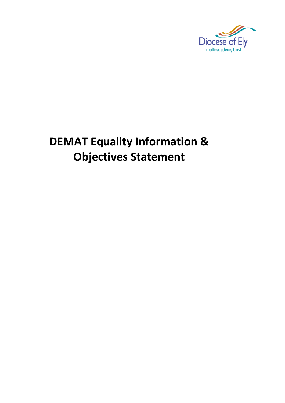

# **DEMAT Equality Information & Objectives Statement**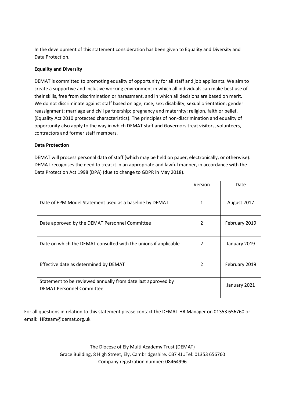In the development of this statement consideration has been given to Equality and Diversity and Data Protection.

### **Equality and Diversity**

DEMAT is committed to promoting equality of opportunity for all staff and job applicants. We aim to create a supportive and inclusive working environment in which all individuals can make best use of their skills, free from discrimination or harassment, and in which all decisions are based on merit. We do not discriminate against staff based on age; race; sex; disability; sexual orientation; gender reassignment; marriage and civil partnership; pregnancy and maternity; religion, faith or belief. (Equality Act 2010 protected characteristics). The principles of non-discrimination and equality of opportunity also apply to the way in which DEMAT staff and Governors treat visitors, volunteers, contractors and former staff members.

#### **Data Protection**

DEMAT will process personal data of staff (which may be held on paper, electronically, or otherwise). DEMAT recognises the need to treat it in an appropriate and lawful manner, in accordance with the Data Protection Act 1998 (DPA) (due to change to GDPR in May 2018).

|                                                                                                  | Version | Date          |
|--------------------------------------------------------------------------------------------------|---------|---------------|
| Date of EPM Model Statement used as a baseline by DEMAT                                          | 1       | August 2017   |
| Date approved by the DEMAT Personnel Committee                                                   | 2       | February 2019 |
| Date on which the DEMAT consulted with the unions if applicable                                  |         | January 2019  |
| Effective date as determined by DEMAT                                                            | 2       | February 2019 |
| Statement to be reviewed annually from date last approved by<br><b>DEMAT Personnel Committee</b> |         | January 2021  |

For all questions in relation to this statement please contact the DEMAT HR Manager on 01353 656760 or email: HRteam@demat.org.uk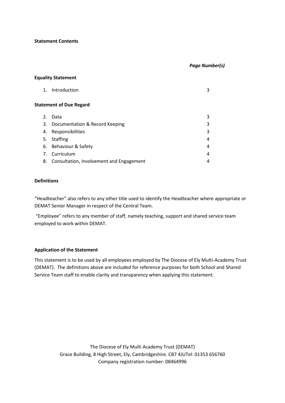#### **Statement Contents**

#### *Page Number(s)*

#### **Equality Statement**

| $\mathbf{1}$ .                 | Introduction                             | 3 |  |
|--------------------------------|------------------------------------------|---|--|
| <b>Statement of Due Regard</b> |                                          |   |  |
| 2.                             | Data                                     | 3 |  |
|                                | 3. Documentation & Record Keeping        | 3 |  |
| 4.                             | Responsibilities                         | 3 |  |
| 5.                             | Staffing                                 | 4 |  |
|                                | 6. Behaviour & Safety                    | 4 |  |
| 7.                             | Curriculum                               | 4 |  |
| 8.                             | Consultation, Involvement and Engagement | 4 |  |

### **Definitions**

"Headteacher" also refers to any other title used to identify the Headteacher where appropriate or DEMAT Senior Manager in respect of the Central Team.

"Employee" refers to any member of staff, namely teaching, support and shared service team employed to work within DEMAT.

#### **Application of the Statement**

This statement is to be used by all employees employed by The Diocese of Ely Multi-Academy Trust (DEMAT). The definitions above are included for reference purposes for both School and Shared Service Team staff to enable clarity and transparency when applying this statement.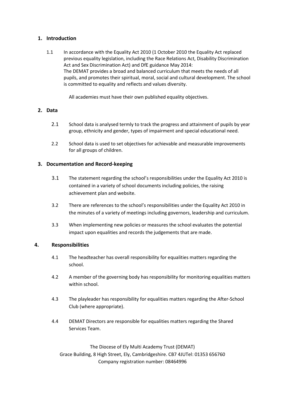## **1. Introduction**

1.1 In accordance with the Equality Act 2010 (1 October 2010 the Equality Act replaced previous equality legislation, including the Race Relations Act, Disability Discrimination Act and Sex Discrimination Act) and DfE guidance May 2014: The DEMAT provides a broad and balanced curriculum that meets the needs of all pupils, and promotes their spiritual, moral, social and cultural development. The school is committed to equality and reflects and values diversity.

All academies must have their own published equality objectives.

## **2. Data**

- 2.1 School data is analysed termly to track the progress and attainment of pupils by year group, ethnicity and gender, types of impairment and special educational need.
- 2.2 School data is used to set objectives for achievable and measurable improvements for all groups of children.

## **3. Documentation and Record-keeping**

- 3.1 The statement regarding the school's responsibilities under the Equality Act 2010 is contained in a variety of school documents including policies, the raising achievement plan and website.
- 3.2 There are references to the school's responsibilities under the Equality Act 2010 in the minutes of a variety of meetings including governors, leadership and curriculum.
- 3.3 When implementing new policies or measures the school evaluates the potential impact upon equalities and records the judgements that are made.

## **4. Responsibilities**

- 4.1 The headteacher has overall responsibility for equalities matters regarding the school.
- 4.2 A member of the governing body has responsibility for monitoring equalities matters within school.
- 4.3 The playleader has responsibility for equalities matters regarding the After-School Club (where appropriate).
- 4.4 DEMAT Directors are responsible for equalities matters regarding the Shared Services Team.